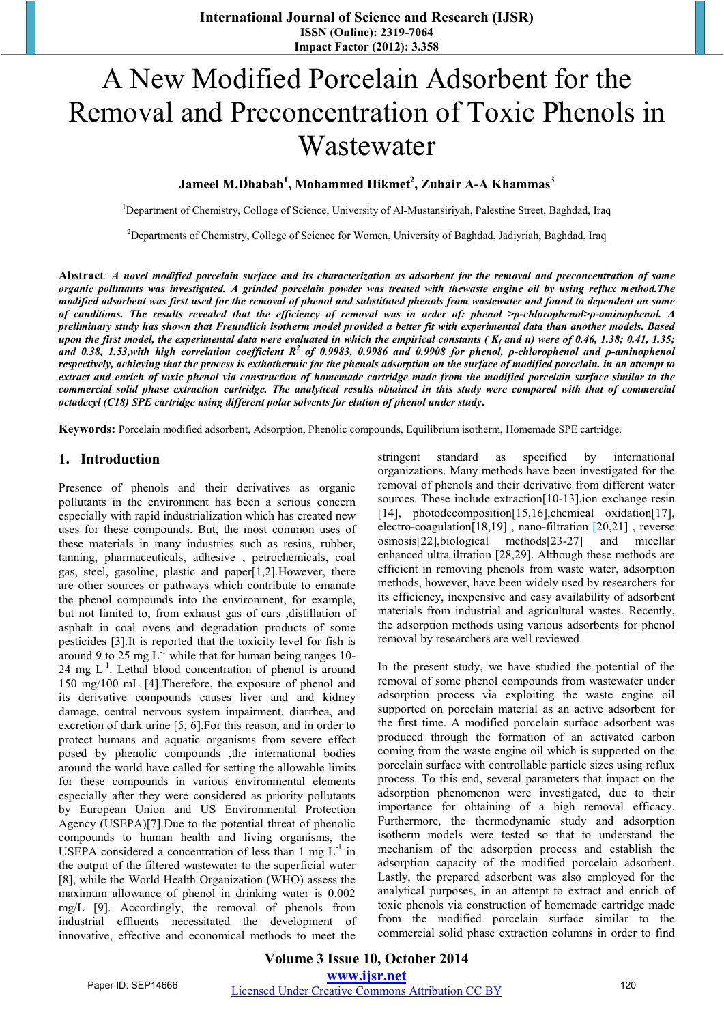# A New Modified Porcelain Adsorbent for the Removal and Preconcentration of Toxic Phenols in Wastewater

**Jameel M.Dhabab1 , Mohammed Hikmet<sup>2</sup> , Zuhair A-A Khammas<sup>3</sup>**

<sup>1</sup>Department of Chemistry, Colloge of Science, University of Al-Mustansiriyah, Palestine Street, Baghdad, Iraq

<sup>2</sup>Departments of Chemistry, College of Science for Women, University of Baghdad, Jadiyriah, Baghdad, Iraq

**Abstract***: A novel modified porcelain surface and its characterization as adsorbent for the removal and preconcentration of some organic pollutants was investigated. A grinded porcelain powder was treated with thewaste engine oil by using reflux method.The modified adsorbent was first used for the removal of phenol and substituted phenols from wastewater and found to dependent on some of conditions. The results revealed that the efficiency of removal was in order of: phenol >ρ-chlorophenol>ρ-aminophenol. A preliminary study has shown that Freundlich isotherm model provided a better fit with experimental data than another models. Based upon the first model, the experimental data were evaluated in which the empirical constants (K<sub>f</sub> and n) were of 0.46, 1.38; 0.41, 1.35;* and 0.38, 1.53,with high correlation coefficient R<sup>2</sup> of 0.9983, 0.9986 and 0.9908 for phenol, *ρ-chlorophenol and ρ-aminophenol respectively, achieving that the process is exthothermic for the phenols adsorption on the surface of modified porcelain. in an attempt to extract and enrich of toxic phenol via construction of homemade cartridge made from the modified porcelain surface similar to the commercial solid phase extraction cartridge. The analytical results obtained in this study were compared with that of commercial octadecyl (C18) SPE cartridge using different polar solvents for elution of phenol under study***.**

**Keywords:** Porcelain modified adsorbent, Adsorption, Phenolic compounds, Equilibrium isotherm, Homemade SPE cartridge.

## **1. Introduction**

Presence of phenols and their derivatives as organic pollutants in the environment has been a serious concern especially with rapid industrialization which has created new uses for these compounds. But, the most common uses of these materials in many industries such as resins, rubber, tanning, pharmaceuticals, adhesive , petrochemicals, coal gas, steel, gasoline, plastic and paper[1,2].However, there are other sources or pathways which contribute to emanate the phenol compounds into the environment, for example, but not limited to, from exhaust gas of cars ,distillation of asphalt in coal ovens and degradation products of some pesticides [3].It is reported that the toxicity level for fish is around 9 to 25 mg  $L^{-1}$  while that for human being ranges 10- $24 \text{ mg } L^{-1}$ . Lethal blood concentration of phenol is around 150 mg/100 mL [4].Therefore, the exposure of phenol and its derivative compounds causes liver and and kidney damage, central nervous system impairment, diarrhea, and excretion of dark urine [5, 6].For this reason, and in order to protect humans and aquatic organisms from severe effect posed by phenolic compounds ,the international bodies around the world have called for setting the allowable limits for these compounds in various environmental elements especially after they were considered as priority pollutants by European Union and US Environmental Protection Agency (USEPA)[7].Due to the potential threat of phenolic compounds to human health and living organisms, the USEPA considered a concentration of less than 1 mg  $L^{-1}$  in the output of the filtered wastewater to the superficial water [8], while the World Health Organization (WHO) assess the maximum allowance of phenol in drinking water is 0.002 mg/L [9]. Accordingly, the removal of phenols from industrial effluents necessitated the development of innovative, effective and economical methods to meet the stringent standard as specified by international organizations. Many methods have been investigated for the removal of phenols and their derivative from different water sources. These include extraction[10-13],ion exchange resin [14], photodecomposition[15,16],chemical oxidation[17], electro-coagulation[18,19] , nano-filtration [20,21] , reverse osmosis[22],biological methods[23-27] and micellar enhanced ultra iltration [28,29]. Although these methods are efficient in removing phenols from waste water, adsorption methods, however, have been widely used by researchers for its efficiency, inexpensive and easy availability of adsorbent materials from industrial and agricultural wastes. Recently, the adsorption methods using various adsorbents for phenol removal by researchers are well reviewed.

In the present study, we have studied the potential of the removal of some phenol compounds from wastewater under adsorption process via exploiting the waste engine oil supported on porcelain material as an active adsorbent for the first time. A modified porcelain surface adsorbent was produced through the formation of an activated carbon coming from the waste engine oil which is supported on the porcelain surface with controllable particle sizes using reflux process. To this end, several parameters that impact on the adsorption phenomenon were investigated, due to their importance for obtaining of a high removal efficacy. Furthermore, the thermodynamic study and adsorption isotherm models were tested so that to understand the mechanism of the adsorption process and establish the adsorption capacity of the modified porcelain adsorbent. Lastly, the prepared adsorbent was also employed for the analytical purposes, in an attempt to extract and enrich of toxic phenols via construction of homemade cartridge made from the modified porcelain surface similar to the commercial solid phase extraction columns in order to find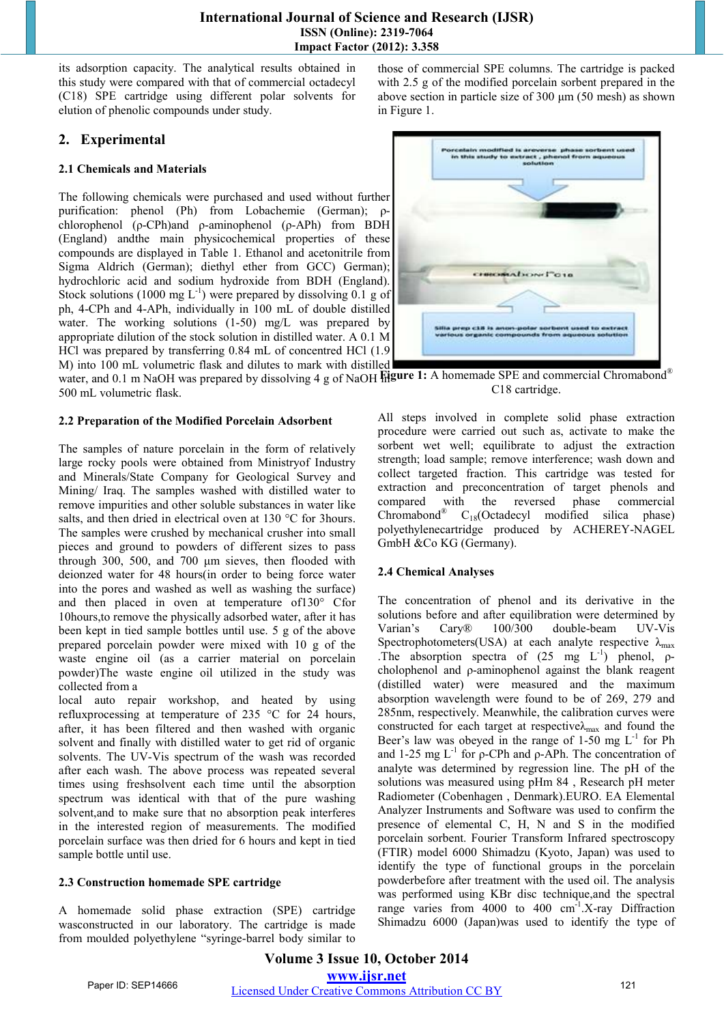its adsorption capacity. The analytical results obtained in this study were compared with that of commercial octadecyl (C18) SPE cartridge using different polar solvents for elution of phenolic compounds under study.

# **2. Experimental**

#### **2.1 Chemicals and Materials**

The following chemicals were purchased and used without further purification: phenol (Ph) from Lobachemie (German); ρchlorophenol (ρ-CPh)and ρ-aminophenol (ρ-APh) from BDH (England) andthe main physicochemical properties of these compounds are displayed in Table 1. Ethanol and acetonitrile from Sigma Aldrich (German); diethyl ether from GCC) German); hydrochloric acid and sodium hydroxide from BDH (England). Stock solutions (1000 mg  $L^{-1}$ ) were prepared by dissolving 0.1 g of ph, 4-CPh and 4-APh, individually in 100 mL of double distilled water. The working solutions (1-50) mg/L was prepared by appropriate dilution of the stock solution in distilled water. A 0.1 M HCl was prepared by transferring 0.84 mL of concentred HCl (1.9 M) into 100 mL volumetric flask and dilutes to mark with distilled

water, and 0.1 m NaOH was prepared by dissolving 4 g of NaOH **Figure 1:** A homemade SPE and commercial Chromabond<sup>®</sup> 500 mL volumetric flask. C18 cartridge.

#### **2.2 Preparation of the Modified Porcelain Adsorbent**

The samples of nature porcelain in the form of relatively large rocky pools were obtained from Ministryof Industry and Minerals/State Company for Geological Survey and Mining/ Iraq. The samples washed with distilled water to remove impurities and other soluble substances in water like salts, and then dried in electrical oven at 130 °C for 3hours. The samples were crushed by mechanical crusher into small pieces and ground to powders of different sizes to pass through 300, 500, and 700 μm sieves, then flooded with deionzed water for 48 hours(in order to being force water into the pores and washed as well as washing the surface) and then placed in oven at temperature of130° Cfor 10hours,to remove the physically adsorbed water, after it has been kept in tied sample bottles until use. 5 g of the above prepared porcelain powder were mixed with 10 g of the waste engine oil (as a carrier material on porcelain powder)The waste engine oil utilized in the study was collected from a

local auto repair workshop, and heated by using refluxprocessing at temperature of 235 °C for 24 hours, after, it has been filtered and then washed with organic solvent and finally with distilled water to get rid of organic solvents. The UV-Vis spectrum of the wash was recorded after each wash. The above process was repeated several times using freshsolvent each time until the absorption spectrum was identical with that of the pure washing solvent,and to make sure that no absorption peak interferes in the interested region of measurements. The modified porcelain surface was then dried for 6 hours and kept in tied sample bottle until use.

#### **2.3 Construction homemade SPE cartridge**

A homemade solid phase extraction (SPE) cartridge wasconstructed in our laboratory. The cartridge is made from moulded polyethylene "syringe-barrel body similar to those of commercial SPE columns. The cartridge is packed with 2.5 g of the modified porcelain sorbent prepared in the above section in particle size of 300 μm (50 mesh) as shown in Figure 1.



All steps involved in complete solid phase extraction procedure were carried out such as, activate to make the sorbent wet well; equilibrate to adjust the extraction strength; load sample; remove interference; wash down and collect targeted fraction. This cartridge was tested for extraction and preconcentration of target phenols and compared with the reversed phase commercial<br>Chromabond<sup>®</sup>  $C_{18}$ (Octadecyl modified silica phase)  $C_{18}$ (Octadecyl modified silica phase)

polyethylenecartridge produced by ACHEREY-NAGEL

## **2.4 Chemical Analyses**

GmbH &Co KG (Germany).

The concentration of phenol and its derivative in the solutions before and after equilibration were determined by Varian's Cary® 100/300 double-beam UV-Vis Spectrophotometers(USA) at each analyte respective  $\lambda_{\text{max}}$ .The absorption spectra of  $(25 \text{ mg } L^{-1})$  phenol,  $\rho$ cholophenol and ρ-aminophenol against the blank reagent (distilled water) were measured and the maximum absorption wavelength were found to be of 269, 279 and 285nm, respectively. Meanwhile, the calibration curves were constructed for each target at respective $\lambda_{\text{max}}$  and found the Beer's law was obeyed in the range of 1-50 mg  $L^{-1}$  for Ph and 1-25 mg  $L^{-1}$  for ρ-CPh and ρ-APh. The concentration of analyte was determined by regression line. The pH of the solutions was measured using pHm 84 , Research pH meter Radiometer (Cobenhagen , Denmark).EURO. EA Elemental Analyzer Instruments and Software was used to confirm the presence of elemental C, H, N and S in the modified porcelain sorbent. Fourier Transform Infrared spectroscopy (FTIR) model 6000 Shimadzu (Kyoto, Japan) was used to identify the type of functional groups in the porcelain powderbefore after treatment with the used oil. The analysis was performed using KBr disc technique,and the spectral range varies from 4000 to 400  $cm^{-1}$ . X-ray Diffraction Shimadzu 6000 (Japan)was used to identify the type of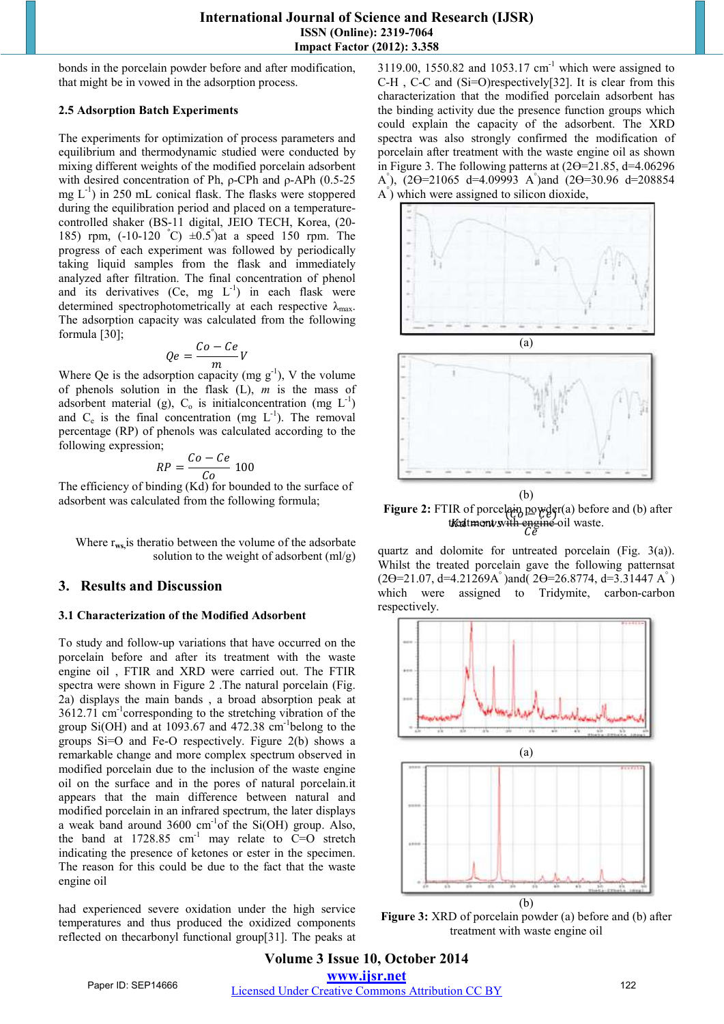bonds in the porcelain powder before and after modification, that might be in vowed in the adsorption process.

#### **2.5 Adsorption Batch Experiments**

The experiments for optimization of process parameters and equilibrium and thermodynamic studied were conducted by mixing different weights of the modified porcelain adsorbent with desired concentration of Ph, ρ-CPh and ρ-APh (0.5-25 mg  $L^{-1}$ ) in 250 mL conical flask. The flasks were stoppered during the equilibration period and placed on a temperaturecontrolled shaker (BS-11 digital, JEIO TECH, Korea, (20- 185) rpm,  $(-10-120 \text{ °C}) \pm 0.5^{\circ}$  at a speed 150 rpm. The progress of each experiment was followed by periodically taking liquid samples from the flask and immediately analyzed after filtration. The final concentration of phenol and its derivatives  $(Ce, mg L^{-1})$  in each flask were determined spectrophotometrically at each respective  $\lambda_{\text{max}}$ . The adsorption capacity was calculated from the following formula [30];

$$
Qe = \frac{Co - Ce}{m}V
$$

Where Qe is the adsorption capacity (mg  $g^{-1}$ ), V the volume of phenols solution in the flask (L), *m* is the mass of adsorbent material (g),  $C_0$  is initial concentration (mg  $L^{-1}$ ) and  $C_e$  is the final concentration (mg  $L^{-1}$ ). The removal percentage (RP) of phenols was calculated according to the following expression;

$$
RP = \frac{Co - Ce}{Co} 100
$$

 $RP = \frac{C_0}{C_0}$  100<br>The efficiency of binding (Kd) for bounded to the surface of adsorbent was calculated from the following formula;

 Where r**ws,**is theratio between the volume of the adsorbate solution to the weight of adsorbent  $(ml/g)$ 

#### **3. Results and Discussion**

#### **3.1 Characterization of the Modified Adsorbent**

To study and follow-up variations that have occurred on the porcelain before and after its treatment with the waste engine oil , FTIR and XRD were carried out. The FTIR spectra were shown in Figure 2 .The natural porcelain (Fig. 2a) displays the main bands , a broad absorption peak at 3612.71 cm-1corresponding to the stretching vibration of the group  $Si(OH)$  and at 1093.67 and 472.38 cm<sup>-1</sup>belong to the groups Si=O and Fe-O respectively. Figure 2(b) shows a remarkable change and more complex spectrum observed in modified porcelain due to the inclusion of the waste engine oil on the surface and in the pores of natural porcelain.it appears that the main difference between natural and modified porcelain in an infrared spectrum, the later displays a weak band around  $3600 \text{ cm}^{-1}$  of the Si(OH) group. Also, the band at  $1728.85$  cm<sup>-1</sup> may relate to C=O stretch indicating the presence of ketones or ester in the specimen. The reason for this could be due to the fact that the waste engine oil

had experienced severe oxidation under the high service temperatures and thus produced the oxidized components reflected on thecarbonyl functional group[31]. The peaks at 3119.00, 1550.82 and 1053.17  $cm^{-1}$  which were assigned to C-H , C-C and (Si=O)respectively[32]. It is clear from this characterization that the modified porcelain adsorbent has the binding activity due the presence function groups which could explain the capacity of the adsorbent. The XRD spectra was also strongly confirmed the modification of porcelain after treatment with the waste engine oil as shown in Figure 3. The following patterns at  $(2\Theta = 21.85, d = 4.06296)$ A°),  $(2\Theta = 21065 \text{ d} = 4.09993 \text{ A}^{\degree})$  and  $(2\Theta = 30.96 \text{ d} = 208854 \text{ A}^{\degree})$ A° ) which were assigned to silicon dioxide,



 $\frac{W}{d}$  or porcessing  $\frac{W}{d}$   $\frac{W}{d}$ Figure 2: FTIR of porcelain powder(a) before and (b) after treatment with engine oil waste.

quartz and dolomite for untreated porcelain (Fig. 3(a)). Whilst the treated porcelain gave the following patternsat  $(2\Theta = 21.07, d = 4.21269A^{\circ})$  and  $(2\Theta = 26.8774, d = 3.31447A^{\circ})$ which were assigned to Tridymite, carbon-carbon respectively.



**Figure 3:** XRD of porcelain powder (a) before and (b) after treatment with waste engine oil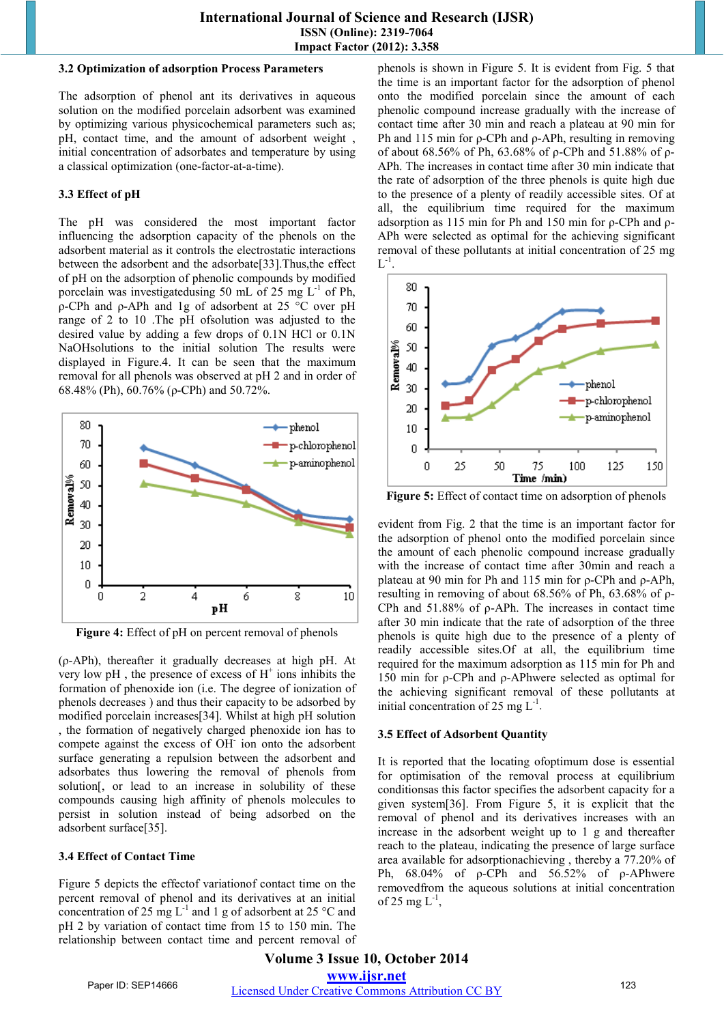#### **3.2 Optimization of adsorption Process Parameters**

The adsorption of phenol ant its derivatives in aqueous solution on the modified porcelain adsorbent was examined by optimizing various physicochemical parameters such as; pH, contact time, and the amount of adsorbent weight , initial concentration of adsorbates and temperature by using a classical optimization (one-factor-at-a-time).

## **3.3 Effect of pH**

The pH was considered the most important factor influencing the adsorption capacity of the phenols on the adsorbent material as it controls the electrostatic interactions between the adsorbent and the adsorbate[33].Thus,the effect of pH on the adsorption of phenolic compounds by modified porcelain was investigatedusing 50 mL of 25 mg  $L^{-1}$  of Ph, ρ-CPh and ρ-APh and 1g of adsorbent at 25 °C over pH range of 2 to 10 .The pH ofsolution was adjusted to the desired value by adding a few drops of 0.1N HCl or 0.1N NaOHsolutions to the initial solution The results were displayed in Figure.4. It can be seen that the maximum removal for all phenols was observed at pH 2 and in order of 68.48% (Ph), 60.76% (ρ-CPh) and 50.72%.



**Figure 4:** Effect of pH on percent removal of phenols

(ρ-APh), thereafter it gradually decreases at high pH. At very low pH, the presence of excess of  $H^+$  ions inhibits the formation of phenoxide ion (i.e. The degree of ionization of phenols decreases ) and thus their capacity to be adsorbed by modified porcelain increases[34]. Whilst at high pH solution , the formation of negatively charged phenoxide ion has to compete against the excess of OH- ion onto the adsorbent surface generating a repulsion between the adsorbent and adsorbates thus lowering the removal of phenols from solution<sub>[,</sub> or lead to an increase in solubility of these compounds causing high affinity of phenols molecules to persist in solution instead of being adsorbed on the adsorbent surface[35].

#### **3.4 Effect of Contact Time**

Figure 5 depicts the effectof variationof contact time on the percent removal of phenol and its derivatives at an initial concentration of 25 mg  $L^{-1}$  and 1 g of adsorbent at 25 °C and pH 2 by variation of contact time from 15 to 150 min. The relationship between contact time and percent removal of phenols is shown in Figure 5. It is evident from Fig. 5 that the time is an important factor for the adsorption of phenol onto the modified porcelain since the amount of each phenolic compound increase gradually with the increase of contact time after 30 min and reach a plateau at 90 min for Ph and 115 min for ρ-CPh and ρ-APh, resulting in removing of about 68.56% of Ph, 63.68% of ρ-CPh and 51.88% of ρ-APh. The increases in contact time after 30 min indicate that the rate of adsorption of the three phenols is quite high due to the presence of a plenty of readily accessible sites. Of at all, the equilibrium time required for the maximum adsorption as 115 min for Ph and 150 min for ρ-CPh and ρ-APh were selected as optimal for the achieving significant removal of these pollutants at initial concentration of 25 mg  $L^{-1}$ .



**Figure 5:** Effect of contact time on adsorption of phenols

evident from Fig. 2 that the time is an important factor for the adsorption of phenol onto the modified porcelain since the amount of each phenolic compound increase gradually with the increase of contact time after 30min and reach a plateau at 90 min for Ph and 115 min for ρ-CPh and ρ-APh, resulting in removing of about 68.56% of Ph, 63.68% of ρ-CPh and 51.88% of ρ-APh. The increases in contact time after 30 min indicate that the rate of adsorption of the three phenols is quite high due to the presence of a plenty of readily accessible sites.Of at all, the equilibrium time required for the maximum adsorption as 115 min for Ph and 150 min for ρ-CPh and ρ-APhwere selected as optimal for the achieving significant removal of these pollutants at initial concentration of 25 mg  $L^{-1}$ .

#### **3.5 Effect of Adsorbent Quantity**

It is reported that the locating ofoptimum dose is essential for optimisation of the removal process at equilibrium conditionsas this factor specifies the adsorbent capacity for a given system[36]. From Figure 5, it is explicit that the removal of phenol and its derivatives increases with an increase in the adsorbent weight up to 1 g and thereafter reach to the plateau, indicating the presence of large surface area available for adsorptionachieving , thereby a 77.20% of Ph, 68.04% of ρ-CPh and 56.52% of ρ-APhwere removedfrom the aqueous solutions at initial concentration of 25 mg  $L^{-1}$ ,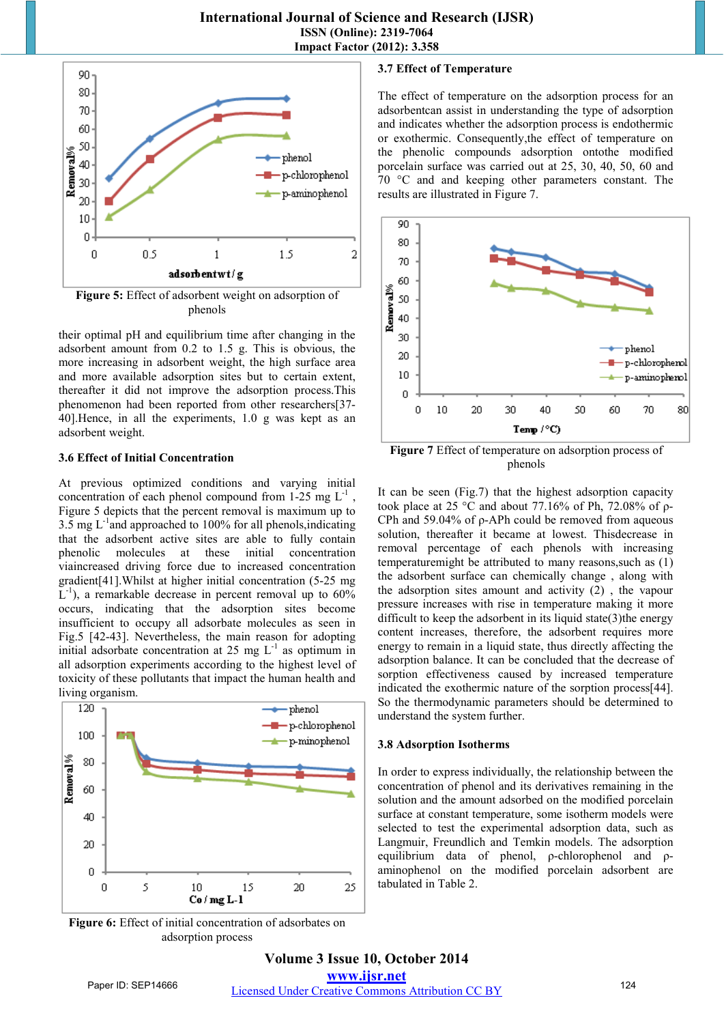

**Figure 5:** Effect of adsorbent weight on adsorption of phenols

their optimal pH and equilibrium time after changing in the adsorbent amount from 0.2 to 1.5 g. This is obvious, the more increasing in adsorbent weight, the high surface area and more available adsorption sites but to certain extent, thereafter it did not improve the adsorption process.This phenomenon had been reported from other researchers[37- 40].Hence, in all the experiments, 1.0 g was kept as an adsorbent weight.

#### **3.6 Effect of Initial Concentration**

At previous optimized conditions and varying initial concentration of each phenol compound from  $1-25$  mg  $L^{-1}$ , Figure 5 depicts that the percent removal is maximum up to 3.5 mg  $L^{-1}$ and approached to 100% for all phenols, indicating that the adsorbent active sites are able to fully contain phenolic molecules at these initial concentration viaincreased driving force due to increased concentration gradient[41].Whilst at higher initial concentration (5-25 mg  $L^{-1}$ ), a remarkable decrease in percent removal up to 60% occurs, indicating that the adsorption sites become insufficient to occupy all adsorbate molecules as seen in Fig.5 [42-43]. Nevertheless, the main reason for adopting initial adsorbate concentration at 25 mg  $L^{-1}$  as optimum in all adsorption experiments according to the highest level of toxicity of these pollutants that impact the human health and living organism.



**Figure 6:** Effect of initial concentration of adsorbates on adsorption process

#### **3.7 Effect of Temperature**

The effect of temperature on the adsorption process for an adsorbentcan assist in understanding the type of adsorption and indicates whether the adsorption process is endothermic or exothermic. Consequently,the effect of temperature on the phenolic compounds adsorption ontothe modified porcelain surface was carried out at 25, 30, 40, 50, 60 and 70 °C and and keeping other parameters constant. The results are illustrated in Figure 7.



**Figure 7** Effect of temperature on adsorption process of phenols

It can be seen (Fig.7) that the highest adsorption capacity took place at 25 °C and about 77.16% of Ph, 72.08% of ρ-CPh and 59.04% of ρ-APh could be removed from aqueous solution, thereafter it became at lowest. Thisdecrease in removal percentage of each phenols with increasing temperaturemight be attributed to many reasons,such as (1) the adsorbent surface can chemically change , along with the adsorption sites amount and activity (2) , the vapour pressure increases with rise in temperature making it more difficult to keep the adsorbent in its liquid state $(3)$ the energy content increases, therefore, the adsorbent requires more energy to remain in a liquid state, thus directly affecting the adsorption balance. It can be concluded that the decrease of sorption effectiveness caused by increased temperature indicated the exothermic nature of the sorption process[44]. So the thermodynamic parameters should be determined to understand the system further.

#### **3.8 Adsorption Isotherms**

In order to express individually, the relationship between the concentration of phenol and its derivatives remaining in the solution and the amount adsorbed on the modified porcelain surface at constant temperature, some isotherm models were selected to test the experimental adsorption data, such as Langmuir, Freundlich and Temkin models. The adsorption equilibrium data of phenol, ρ-chlorophenol and ρaminophenol on the modified porcelain adsorbent are tabulated in Table 2.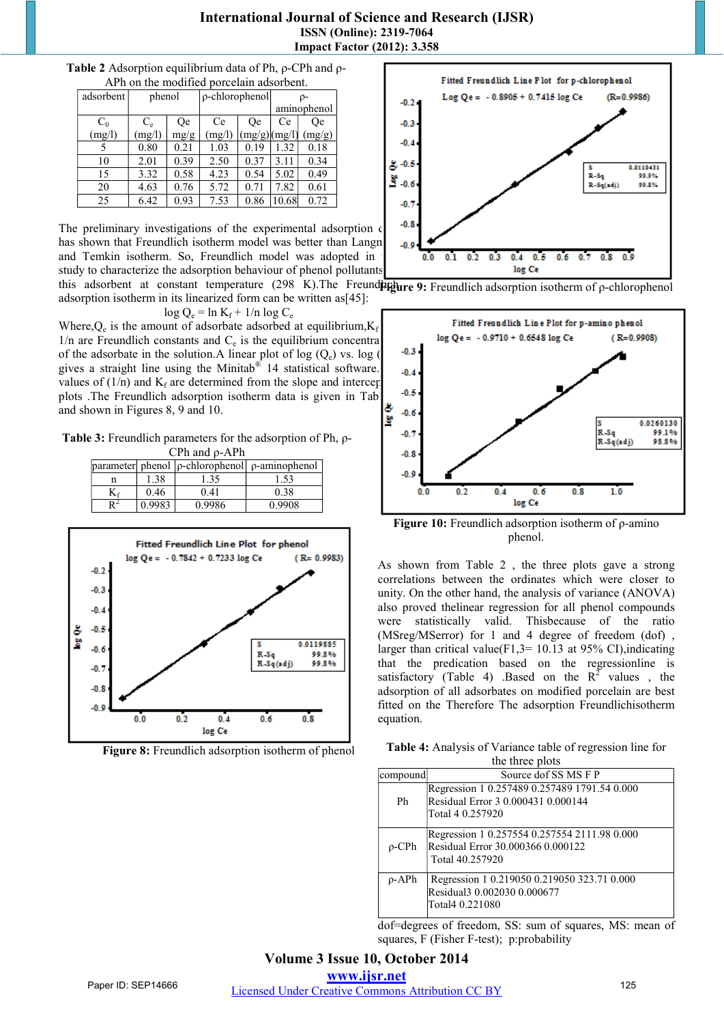| APh on the modified porcelain adsorbent. |             |           |                      |              |             |        |  |  |
|------------------------------------------|-------------|-----------|----------------------|--------------|-------------|--------|--|--|
| adsorbent                                | phenol      |           | $\rho$ -chlorophenol |              | $\rho$ -    |        |  |  |
|                                          |             |           |                      |              | aminophenol |        |  |  |
| $C_0$                                    | $C_{\rm e}$ | <b>Oe</b> | Ce                   | <b>Oe</b>    | Ce          | 0e     |  |  |
| (mg/l)                                   | (mg/l)      | mg/g      | (mg/l)               | (mg/g)(mg/l) |             | (mg/g) |  |  |
|                                          | 0.80        | 0.21      | 1.03                 | 0.19         | 1.32        | 0.18   |  |  |
| 10                                       | 2.01        | 0.39      | 2.50                 | 0.37         | 3.11        | 0.34   |  |  |
| 15                                       | 3.32        | 0.58      | 4.23                 | 0.54         | 5.02        | 0.49   |  |  |
| 20                                       | 4.63        | 0.76      | 5.72                 | 0.71         | 7.82        | 0.61   |  |  |
| 25                                       | 6.42        | 0.93      | 7.53                 | 0.86         | 10.68       | 0.72   |  |  |

# **Table 2** Adsorption equilibrium data of Ph, ρ-CPh and ρ-

The preliminary investigations of the experimental adsorption  $\epsilon$   $\begin{bmatrix} -0.8 \\ 0.8 \end{bmatrix}$ has shown that Freundlich isotherm model was better than Langnunguir and Temkin isotherm. So, Freundlich model was adopted in study to characterize the adsorption behaviour of phenol pollutants

this adsorbent at constant temperature (298 K). The Freundling **P**: Freundlich adsorption isotherm of ρ-chlorophenol adsorption isotherm in its linearized form can be written as[45]:

$$
\log Q_e = \ln K_f + 1/n \log C_e
$$

Where, $Q_e$  is the amount of adsorbate adsorbed at equilibrium, $K_i$ 1/n are Freundlich constants and  $C_e$  is the equilibrium concentration of the education  $\Lambda$  linear plot of  $\log (O)$  vs.  $\log (1 - \frac{13}{2})$ of the adsorbate in the solution. A linear plot of log  $(Q_e)$  vs. log gives a straight line using the Minitab<sup>®</sup> 14 statistical software.  $\begin{bmatrix} 1 & 0 \\ 0 & 1 \end{bmatrix}$ values of  $(1/n)$  and  $K_f$  are determined from the slope and intercept of  $K_f$  are  $K_f$  and  $K_f$  are determined transferred data is given in Tab plots .The Freundlich adsorption isotherm data is given in Tab and shown in Figures 8, 9 and 10.

**Table 3:** Freundlich parameters for the adsorption of Ph, ρ-CPh and ρ-APh

|   |      |        | parameter phenol   p-chlorophenol   p-aminophenol |
|---|------|--------|---------------------------------------------------|
|   | 1.38 | 1.35   | 1.53                                              |
| K | 0.46 | 0.41   | 0.38                                              |
|   |      | 0.9986 | 0.9908                                            |



**Figure 8:** Freundlich adsorption isotherm of phenol



Fitted Freundlich Line Plot for p-amino phenol  $-0.9710 + 0.6548$  log Ce  $(R=0.9908)$  $-0.6$ ē 0.0260130 99.1%  $-0.7$ R-Sq R-Sq(adj) 98.8%  $-0.8$  $-0.5$  $0<sup>2</sup>$  $0.6$  $0.8$  $\overline{10}$  $0.0$  $0.4$ log Ce

**Figure 10:** Freundlich adsorption isotherm of ρ-amino phenol.

As shown from Table 2 , the three plots gave a strong correlations between the ordinates which were closer to unity. On the other hand, the analysis of variance (ANOVA) also proved thelinear regression for all phenol compounds were statistically valid. Thisbecause of the ratio (MSreg/MSerror) for 1 and 4 degree of freedom (dof) , larger than critical value(F1,3= 10.13 at 95% CI), indicating that the predication based on the regressionline is satisfactory (Table 4) .Based on the  $R^2$  values, the adsorption of all adsorbates on modified porcelain are best fitted on the Therefore The adsorption Freundlichisotherm equation.

**Table 4:** Analysis of Variance table of regression line for the three plots

| compound    | Source dof SS MS F P                                                                                   |
|-------------|--------------------------------------------------------------------------------------------------------|
| Ph          | Regression 1 0.257489 0.257489 1791.54 0.000<br>Residual Error 3 0.000431 0.000144<br>Total 4 0.257920 |
| $\rho$ -CPh | Regression 1 0.257554 0.257554 2111.98 0.000<br>Residual Error 30.000366 0.000122<br>Total 40.257920   |
| $\rho$ -APh | Regression 1 0.219050 0.219050 323.71 0.000<br>Residual3 0.002030 0.000677<br>Total4 0.221080          |

dof=degrees of freedom, SS: sum of squares, MS: mean of squares, F (Fisher F-test); p:probability

# **Volume 3 Issue 10, October 2014 www.ijsr.net**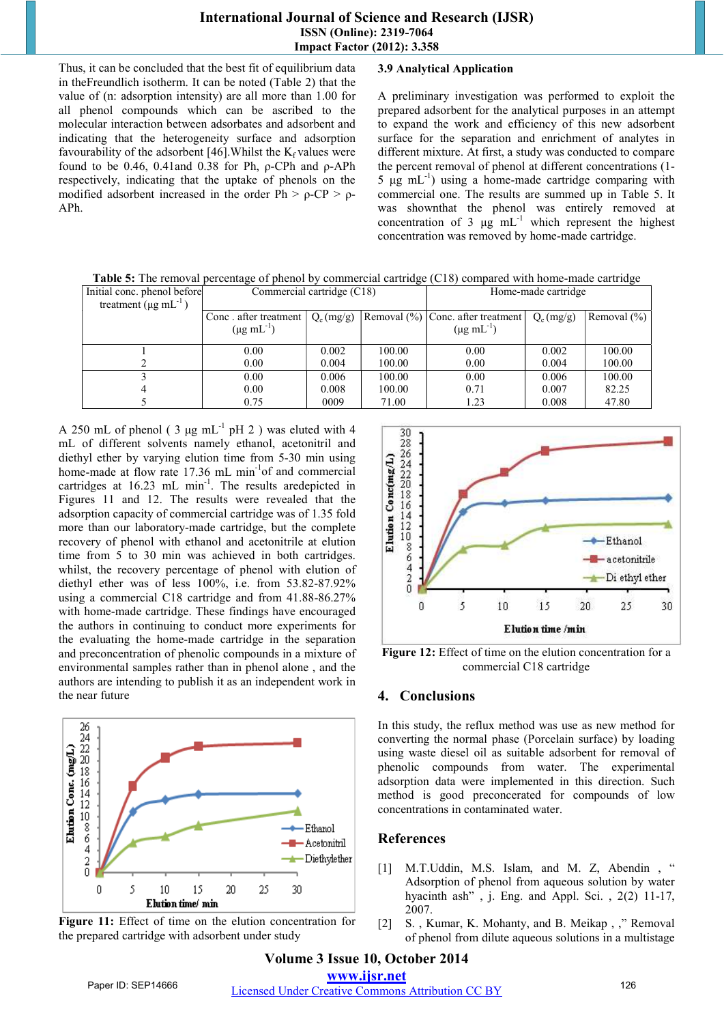Thus, it can be concluded that the best fit of equilibrium data in theFreundlich isotherm. It can be noted (Table 2) that the value of (n: adsorption intensity) are all more than 1.00 for all phenol compounds which can be ascribed to the molecular interaction between adsorbates and adsorbent and indicating that the heterogeneity surface and adsorption favourability of the adsorbent [46]. Whilst the  $K_f$  values were found to be 0.46, 0.41and 0.38 for Ph, ρ-CPh and ρ-APh respectively, indicating that the uptake of phenols on the modified adsorbent increased in the order Ph  $> \rho$ -CP  $> \rho$ -APh.

## **3.9 Analytical Application**

A preliminary investigation was performed to exploit the prepared adsorbent for the analytical purposes in an attempt to expand the work and efficiency of this new adsorbent surface for the separation and enrichment of analytes in different mixture. At first, a study was conducted to compare the percent removal of phenol at different concentrations (1- 5 μg mL<sup>-1</sup>) using a home-made cartridge comparing with commercial one. The results are summed up in Table 5. It was shownthat the phenol was entirely removed at concentration of 3 μg  $mL^{-1}$  which represent the highest concentration was removed by home-made cartridge.

**Table 5:** The removal percentage of phenol by commercial cartridge (C18) compared with home-made cartridge

| Initial conc. phenol before            | Commercial cartridge (C18) |             |        | Home-made cartridge               |             |                 |
|----------------------------------------|----------------------------|-------------|--------|-----------------------------------|-------------|-----------------|
| treatment ( $\mu$ g mL <sup>-1</sup> ) |                            |             |        |                                   |             |                 |
|                                        | Conc. after treatment      | $Q_e(mg/g)$ |        | Removal (%) Conc. after treatment | $Q_e(mg/g)$ | Removal $(\% )$ |
|                                        | $(\mu g \text{ mL}^{-1})$  |             |        | $(\mu g \text{ mL}^{-1})$         |             |                 |
|                                        | 0.00                       | 0.002       | 100.00 | 0.00                              | 0.002       | 100.00          |
|                                        | 0.00                       | 0.004       | 100.00 | 0.00                              | 0.004       | 100.00          |
|                                        | 0.00                       | 0.006       | 100.00 | 0.00                              | 0.006       | 100.00          |
|                                        | 0.00                       | 0.008       | 100.00 | 0.71                              | 0.007       | 82.25           |
|                                        | 0.75                       | 0009        | 71.00  | 1.23                              | 0.008       | 47.80           |

A 250 mL of phenol ( $3 \mu g$  mL<sup>-1</sup> pH 2) was eluted with 4 mL of different solvents namely ethanol, acetonitril and diethyl ether by varying elution time from 5-30 min using home-made at flow rate 17.36 mL min<sup>-1</sup>of and commercial cartridges at 16.23 mL min<sup>-1</sup>. The results are depicted in Figures 11 and 12. The results were revealed that the adsorption capacity of commercial cartridge was of 1.35 fold more than our laboratory-made cartridge, but the complete recovery of phenol with ethanol and acetonitrile at elution time from 5 to 30 min was achieved in both cartridges. whilst, the recovery percentage of phenol with elution of diethyl ether was of less 100%, i.e. from 53.82-87.92% using a commercial C18 cartridge and from 41.88-86.27% with home-made cartridge. These findings have encouraged the authors in continuing to conduct more experiments for the evaluating the home-made cartridge in the separation and preconcentration of phenolic compounds in a mixture of environmental samples rather than in phenol alone , and the authors are intending to publish it as an independent work in the near future



Figure 11: Effect of time on the elution concentration for the prepared cartridge with adsorbent under study



Figure 12: Effect of time on the elution concentration for a commercial C18 cartridge

# **4. Conclusions**

In this study, the reflux method was use as new method for converting the normal phase (Porcelain surface) by loading using waste diesel oil as suitable adsorbent for removal of phenolic compounds from water. The experimental adsorption data were implemented in this direction. Such method is good preconcerated for compounds of low concentrations in contaminated water.

# **References**

- [1] M.T.Uddin, M.S. Islam, and M. Z, Abendin, " Adsorption of phenol from aqueous solution by water hyacinth ash", j. Eng. and Appl. Sci., 2(2) 11-17, 2007.
- [2] S., Kumar, K. Mohanty, and B. Meikap, ," Removal of phenol from dilute aqueous solutions in a multistage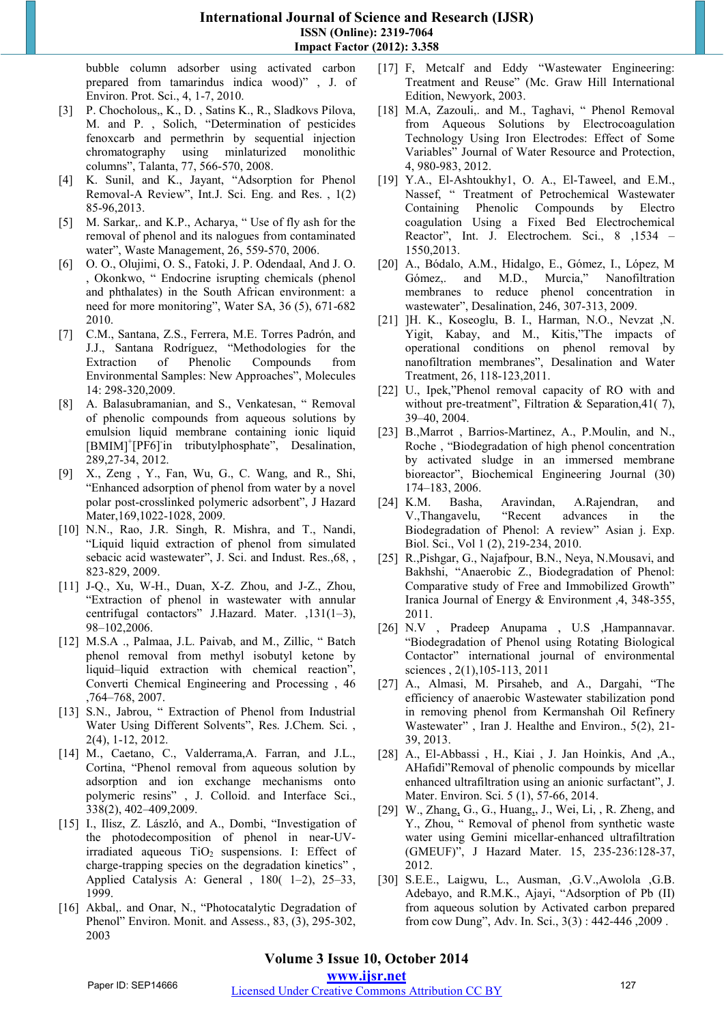bubble column adsorber using activated carbon prepared from tamarindus indica wood)" , J. of Environ. Prot. Sci., 4, 1-7, 2010.

- [3] P. Chocholous,, K., D. , Satins K., R., Sladkovs Pilova, M. and P. , Solich, "Determination of pesticides fenoxcarb and permethrin by sequential injection chromatography using minlaturized monolithic columns", Talanta, 77, 566-570, 2008.
- [4] K. Sunil, and K., Jayant, "Adsorption for Phenol Removal-A Review", Int.J. Sci. Eng. and Res. , 1(2) 85-96,2013.
- [5] M. Sarkar,. and K.P., Acharya, " Use of fly ash for the removal of phenol and its nalogues from contaminated water", Waste Management, 26, 559-570, 2006.
- [6] O. O., Olujimi, O. S., Fatoki, J. P. Odendaal, And J. O. , Okonkwo, " Endocrine isrupting chemicals (phenol and phthalates) in the South African environment: a need for more monitoring", Water SA, 36 (5), 671-682 2010.
- [7] C.M., Santana, Z.S., Ferrera, M.E. Torres Padrón, and J.J., Santana Rodríguez, "Methodologies for the Extraction of Phenolic Compounds from Environmental Samples: New Approaches", Molecules 14: 298-320,2009.
- [8] A. Balasubramanian, and S., Venkatesan, " Removal of phenolic compounds from aqueous solutions by emulsion liquid membrane containing ionic liquid [BMIM]<sup>+</sup>[PF6]<sup>-</sup>in tributylphosphate", Desalination, 289,27-34, 2012.
- [9] X., Zeng , Y., Fan, Wu, G., C. Wang, and R., Shi, "Enhanced adsorption of phenol from water by a novel polar post-crosslinked polymeric adsorbent", J Hazard Mater,169,1022-1028, 2009.
- [10] N.N., Rao, J.R. Singh, R. Mishra, and T., Nandi, "Liquid liquid extraction of phenol from simulated sebacic acid wastewater", J. Sci. and Indust. Res.,68, , 823-829, 2009.
- [11] J-Q., Xu, W-H., Duan, X-Z. Zhou, and J-Z., Zhou, "Extraction of phenol in wastewater with annular centrifugal contactors" J.Hazard. Mater. ,131(1–3), 98–102,2006.
- [12] M.S.A ., Palmaa, J.L. Paivab, and M., Zillic, "Batch phenol removal from methyl isobutyl ketone by liquid–liquid extraction with chemical reaction", Converti Chemical Engineering and Processing , 46 ,764–768, 2007.
- [13] S.N., Jabrou, " Extraction of Phenol from Industrial Water Using Different Solvents", Res. J.Chem. Sci. , 2(4), 1-12, 2012.
- [14] M., Caetano, C., Valderrama, A. Farran, and J.L., Cortina, "Phenol removal from aqueous solution by adsorption and ion exchange mechanisms onto polymeric resins" , J. Colloid. and Interface Sci., 338(2), 402–409,2009.
- [15] I., Ilisz, Z. László, and A., Dombi, "Investigation of the photodecomposition of phenol in near-UVirradiated aqueous  $TiO<sub>2</sub>$  suspensions. I: Effect of charge-trapping species on the degradation kinetics" , Applied Catalysis A: General , 180( 1–2), 25–33, 1999.
- [16] Akbal,. and Onar, N., "Photocatalytic Degradation of Phenol" Environ. Monit. and Assess., 83, (3), 295-302, 2003
- [17] F, Metcalf and Eddy "Wastewater Engineering: Treatment and Reuse" (Mc. Graw Hill International Edition, Newyork, 2003.
- [18] M.A, Zazouli,. and M., Taghavi, " Phenol Removal from Aqueous Solutions by Electrocoagulation Technology Using Iron Electrodes: Effect of Some Variables" Journal of Water Resource and Protection, 4, 980-983, 2012.
- [19] Y.A., El-Ashtoukhy1, O. A., El-Taweel, and E.M., Nassef, " Treatment of Petrochemical Wastewater Containing Phenolic Compounds by Electro coagulation Using a Fixed Bed Electrochemical Reactor", Int. J. Electrochem. Sci., 8 ,1534 – 1550,2013.
- [20] A., Bódalo, A.M., Hidalgo, E., Gómez, I., López, M Gómez,. and M.D., Murcia," Nanofiltration membranes to reduce phenol concentration in wastewater", Desalination, 246, 307-313, 2009.
- [21] ]H. K., Koseoglu, B. I., Harman, N.O., Nevzat ,N. Yigit, Kabay, and M., Kitis,"The impacts of operational conditions on phenol removal by nanofiltration membranes", Desalination and Water Treatment, 26, 118-123,2011.
- [22] U., Ipek,"Phenol removal capacity of RO with and without pre-treatment", Filtration & Separation, 41(7), 39–40, 2004.
- [23] B.,Marrot , Barrios-Martinez, A., P.Moulin, and N., Roche , "Biodegradation of high phenol concentration by activated sludge in an immersed membrane bioreactor", Biochemical Engineering Journal (30) 174–183, 2006.
- [24] K.M. Basha, Aravindan, A.Rajendran, and V.,Thangavelu, "Recent advances in the Biodegradation of Phenol: A review" Asian j. Exp. Biol. Sci., Vol 1 (2), 219-234, 2010.
- [25] R.,Pishgar, G., Najafpour, B.N., Neya, N.Mousavi, and Bakhshi, "Anaerobic Z., Biodegradation of Phenol: Comparative study of Free and Immobilized Growth" Iranica Journal of Energy & Environment ,4, 348-355, 2011.
- [26] N.V , Pradeep Anupama , U.S ,Hampannavar. "Biodegradation of Phenol using Rotating Biological Contactor" international journal of environmental sciences , 2(1),105-113, 2011
- [27] A., Almasi, M. Pirsaheb, and A., Dargahi, "The efficiency of anaerobic Wastewater stabilization pond in removing phenol from Kermanshah Oil Refinery Wastewater" , Iran J. Healthe and Environ., 5(2), 21- 39, 2013.
- [28] A., El-Abbassi , H., Kiai , J. Jan Hoinkis, And ,A., AHafidi"Removal of phenolic compounds by micellar enhanced ultrafiltration using an anionic surfactant", J. Mater. Environ. Sci. 5 (1), 57-66, 2014.
- [29] W., Zhang, G., G., Huang,, J., Wei, Li, , R. Zheng, and Y., Zhou, " Removal of phenol from synthetic waste water using Gemini micellar-enhanced ultrafiltration (GMEUF)", J Hazard Mater. 15, 235-236:128-37, 2012.
- [30] S.E.E., Laigwu, L., Ausman, ,G.V.,Awolola ,G.B. Adebayo, and R.M.K., Ajayi, "Adsorption of Pb (II) from aqueous solution by Activated carbon prepared from cow Dung", Adv. In. Sci., 3(3) : 442-446 ,2009 .